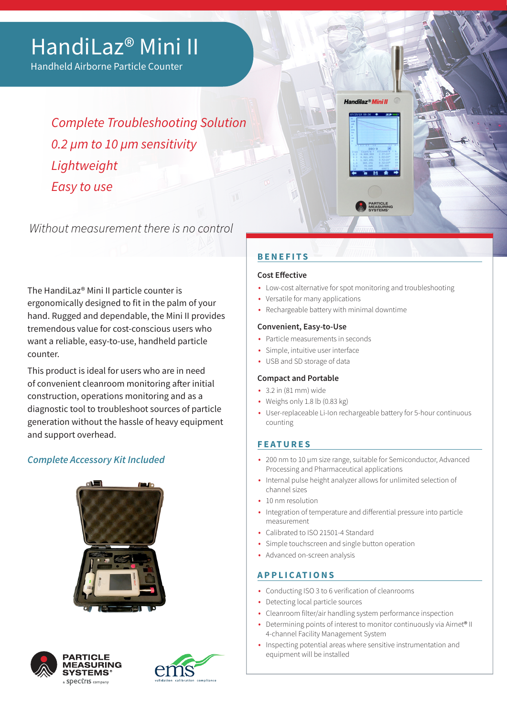# HandiLaz® Mini II

Handheld Airborne Particle Counter

*Complete Troubleshooting Solution 0.2 µm to 10 µm sensitivity Lightweight Easy to use*

Without measurement there is no control

The HandiLaz® Mini II particle counter is ergonomically designed to fit in the palm of your hand. Rugged and dependable, the Mini II provides tremendous value for cost-conscious users who want a reliable, easy-to-use, handheld particle counter.

This product is ideal for users who are in need of convenient cleanroom monitoring after initial construction, operations monitoring and as a diagnostic tool to troubleshoot sources of particle generation without the hassle of heavy equipment and support overhead.

# *Complete Accessory Kit Included*







# **BENEFITS**

#### **Cost Effective**

- Low-cost alternative for spot monitoring and troubleshooting
- Versatile for many applications
- Rechargeable battery with minimal downtime

#### **Convenient, Easy-to-Use**

- Particle measurements in seconds
- Simple, intuitive user interface
- USB and SD storage of data

#### **Compact and Portable**

- 3.2 in (81 mm) wide
- Weighs only 1.8 lb (0.83 kg)
- User-replaceable Li-Ion rechargeable battery for 5-hour continuous counting

# **FEATURES**

- 200 nm to 10 μm size range, suitable for Semiconductor, Advanced Processing and Pharmaceutical applications
- Internal pulse height analyzer allows for unlimited selection of channel sizes
- 10 nm resolution
- Integration of temperature and differential pressure into particle measurement
- Calibrated to ISO 21501-4 Standard
- Simple touchscreen and single button operation
- Advanced on-screen analysis

# **APPLICATIONS**

- Conducting ISO 3 to 6 verification of cleanrooms
- Detecting local particle sources
- Cleanroom filter/air handling system performance inspection
- Determining points of interest to monitor continuously via Airnet<sup>®</sup> II 4-channel Facility Management System
- Inspecting potential areas where sensitive instrumentation and equipment will be installed



PARTICLE<br>MEASURING